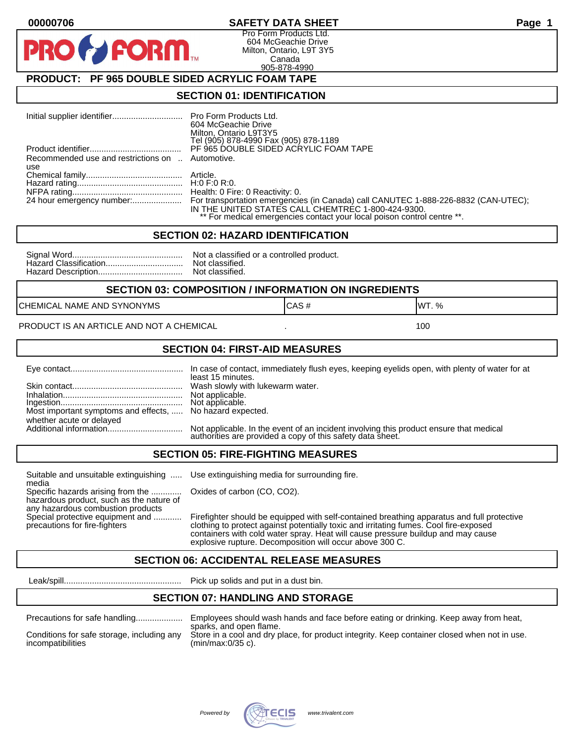#### **00000706 SAFETY DATA SHEET Page 1**

Pro Form Products Ltd. 604 McGeachie Drive Milton, Ontario, L9T 3Y5 Canada 905-878-4990

## **PRODUCT: PF 965 DOUBLE SIDED ACRYLIC FOAM TAPE**

**FORM.** 

#### **SECTION 01: IDENTIFICATION**

|                                                         | 604 McGeachie Drive<br>Milton, Ontario L9T3Y5<br>Tel (905) 878-4990 Fax (905) 878-1189                                                                                                                                                        |
|---------------------------------------------------------|-----------------------------------------------------------------------------------------------------------------------------------------------------------------------------------------------------------------------------------------------|
|                                                         | PF 965 DOUBLE SIDED ACRYLIC FOAM TAPE                                                                                                                                                                                                         |
| Recommended use and restrictions on  Automotive.<br>use |                                                                                                                                                                                                                                               |
|                                                         |                                                                                                                                                                                                                                               |
|                                                         |                                                                                                                                                                                                                                               |
|                                                         | 24 hour emergency number: For transportation emergencies (in Canada) call CANUTEC 1-888-226-8832 (CAN-UTEC);<br>IN THE UNITED STATES CALL CHEMTREC 1-800-424-9300.<br>** For medical emergencies contact your local poison control centre **. |

#### **SECTION 02: HAZARD IDENTIFICATION**

| No |
|----|
| No |
| No |

ot a classified or a controlled product. ot classified. ot classified.

#### **SECTION 03: COMPOSITION / INFORMATION ON INGREDIENTS**

CHEMICAL NAME AND SYNONYMS GAS AND CAS # CAS # WT. %

PRODUCT IS AN ARTICLE AND NOT A CHEMICAL **AND THE SET AND A SET ALL ASSAULT** 100

#### **SECTION 04: FIRST-AID MEASURES**

|                                                                                       | least 15 minutes.                                                                                                                                    |
|---------------------------------------------------------------------------------------|------------------------------------------------------------------------------------------------------------------------------------------------------|
|                                                                                       |                                                                                                                                                      |
| Most important symptoms and effects,  No hazard expected.<br>whether acute or delayed |                                                                                                                                                      |
|                                                                                       | Not applicable. In the event of an incident involving this product ensure that medical<br>authorities are provided a copy of this safety data sheet. |

#### **SECTION 05: FIRE-FIGHTING MEASURES**

Suitable and unsuitable extinguishing ..... Use extinguishing media for surrounding fire. media

Specific hazards arising from the ............. Oxides of carbon (CO, CO2). hazardous product, such as the nature of any hazardous combustion products

Special protective equipment and ............ Firefighter should be equipped with self-contained breathing apparatus and full protective<br>precautions for fire-fighters continent clothing to protect against potentially toxic clothing to protect against potentially toxic and irritating fumes. Cool fire-exposed containers with cold water spray. Heat will cause pressure buildup and may cause explosive rupture. Decomposition will occur above 300 C.

## **SECTION 06: ACCIDENTAL RELEASE MEASURES**

Leak/spill.................................................. Pick up solids and put in a dust bin.

#### **SECTION 07: HANDLING AND STORAGE**

| Precautions for safe handling |
|-------------------------------|
|                               |

Precautions for safe handling.................... Employees should wash hands and face before eating or drinking. Keep away from heat, sparks, and open flame. Conditions for safe storage, including any Store in a cool and dry place, for product integrity. Keep container closed when not in use.<br>incompatibilities (min/max:0/35 c).  $(min/max:0/35 c)$ .

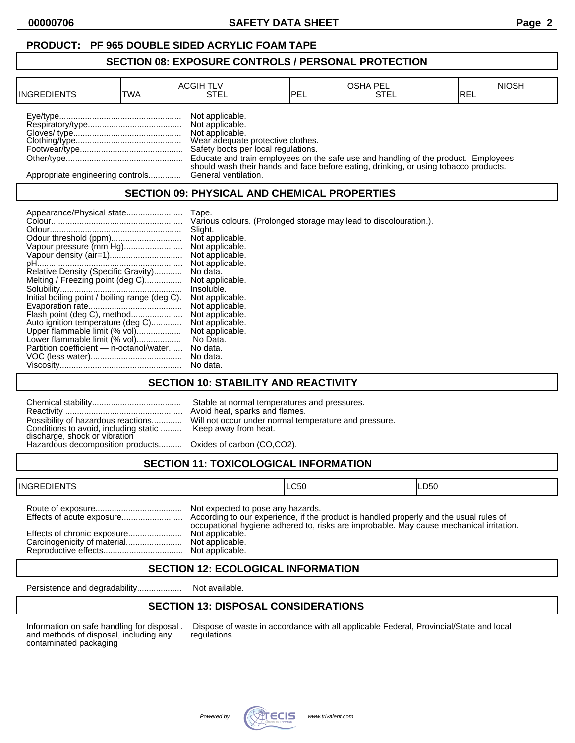## **PRODUCT: PF 965 DOUBLE SIDED ACRYLIC FOAM TAPE**

#### **SECTION 08: EXPOSURE CONTROLS / PERSONAL PROTECTION**

| <b>INGREDIENTS</b>               | TWA | <b>ACGIH TLV</b><br>STEL                                                                                                          | <b>IPEL</b> | <b>OSHA PEL</b><br>STEL                                                              | <b>NIOSH</b><br>IREL |
|----------------------------------|-----|-----------------------------------------------------------------------------------------------------------------------------------|-------------|--------------------------------------------------------------------------------------|----------------------|
|                                  |     | Not applicable.<br>Not applicable.<br>Not applicable.<br>Wear adequate protective clothes.<br>Safety boots per local regulations. |             | Educate and train employees on the safe use and handling of the product. Employees   |                      |
| Appropriate engineering controls |     | General ventilation.                                                                                                              |             | should wash their hands and face before eating, drinking, or using tobacco products. |                      |

## **SECTION 09: PHYSICAL AND CHEMICAL PROPERTIES**

| Appearance/Physical state                      | Tape.                                                             |
|------------------------------------------------|-------------------------------------------------------------------|
|                                                | Various colours. (Prolonged storage may lead to discolouration.). |
|                                                | Slight.                                                           |
| Odour threshold (ppm)                          | Not applicable.                                                   |
| Vapour pressure (mm Hg)                        | Not applicable.                                                   |
|                                                | Not applicable.                                                   |
|                                                | Not applicable.                                                   |
| Relative Density (Specific Gravity)            | No data.                                                          |
| Melting / Freezing point (deg C)               | Not applicable.                                                   |
|                                                | Insoluble.                                                        |
| Initial boiling point / boiling range (deg C). | Not applicable.                                                   |
|                                                | Not applicable.                                                   |
| Flash point (deg C), method                    | Not applicable.                                                   |
| Auto ignition temperature (deg C)              | Not applicable.                                                   |
| Upper flammable limit (% vol)                  | Not applicable.                                                   |
| Lower flammable limit (% vol)                  | No Data.                                                          |
| Partition coefficient - n-octanol/water        | No data.                                                          |
|                                                | No data.                                                          |
|                                                | No data.                                                          |

## **SECTION 10: STABILITY AND REACTIVITY**

| Conditions to avoid, including static  Keep away from heat.<br>discharge, shock or vibration<br>Hazardous decomposition products Oxides of carbon (CO,CO2). | Stable at normal temperatures and pressures.<br>Avoid heat, sparks and flames.<br>Possibility of hazardous reactions Will not occur under normal temperature and pressure. |
|-------------------------------------------------------------------------------------------------------------------------------------------------------------|----------------------------------------------------------------------------------------------------------------------------------------------------------------------------|
|                                                                                                                                                             |                                                                                                                                                                            |

# **SECTION 11: TOXICOLOGICAL INFORMATION**

| <b>INGREDIENTS</b>          |                                                                         | ILC50                                                                                   | ILD50 |
|-----------------------------|-------------------------------------------------------------------------|-----------------------------------------------------------------------------------------|-------|
| Effects of chronic exposure | Not expected to pose any hazards.<br>Not applicable.<br>Not applicable. | occupational hygiene adhered to, risks are improbable. May cause mechanical irritation. |       |

## **SECTION 12: ECOLOGICAL INFORMATION**

Persistence and degradability................... Not available.

## **SECTION 13: DISPOSAL CONSIDERATIONS**

and methods of disposal, including any contaminated packaging

Information on safe handling for disposal . Dispose of waste in accordance with all applicable Federal, Provincial/State and local